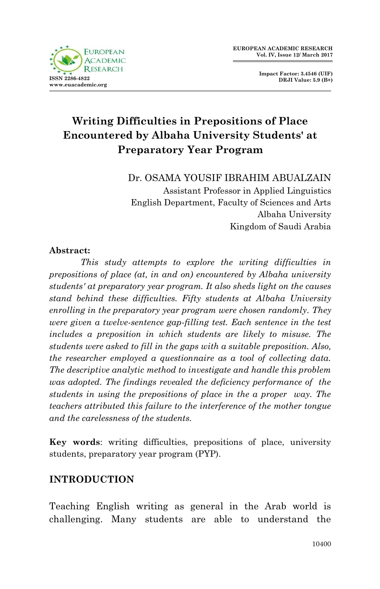

**Impact Factor: 3.4546 (UIF) DRJI Value: 5.9 (B+)**

# **Writing Difficulties in Prepositions of Place Encountered by Albaha University Students' at Preparatory Year Program**

Dr. OSAMA YOUSIF IBRAHIM ABUALZAIN

Assistant Professor in Applied Linguistics English Department, Faculty of Sciences and Arts Albaha University Kingdom of Saudi Arabia

#### **Abstract:**

*This study attempts to explore the writing difficulties in prepositions of place (at, in and on) encountered by Albaha university students' at preparatory year program. It also sheds light on the causes stand behind these difficulties. Fifty students at Albaha University enrolling in the preparatory year program were chosen randomly. They were given a twelve-sentence gap-filling test. Each sentence in the test includes a preposition in which students are likely to misuse. The students were asked to fill in the gaps with a suitable preposition. Also, the researcher employed a questionnaire as a tool of collecting data. The descriptive analytic method to investigate and handle this problem was adopted. The findings revealed the deficiency performance of the students in using the prepositions of place in the a proper way. The teachers attributed this failure to the interference of the mother tongue and the carelessness of the students.* 

**Key words**: writing difficulties, prepositions of place, university students, preparatory year program (PYP).

#### **INTRODUCTION**

Teaching English writing as general in the Arab world is challenging. Many students are able to understand the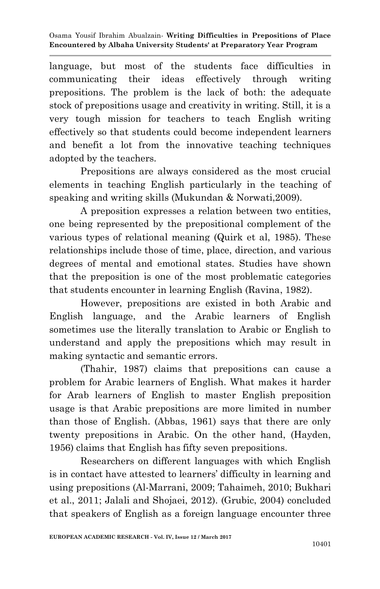language, but most of the students face difficulties in communicating their ideas effectively through writing prepositions. The problem is the lack of both: the adequate stock of prepositions usage and creativity in writing. Still, it is a very tough mission for teachers to teach English writing effectively so that students could become independent learners and benefit a lot from the innovative teaching techniques adopted by the teachers.

 Prepositions are always considered as the most crucial elements in teaching English particularly in the teaching of speaking and writing skills (Mukundan & Norwati,2009).

A preposition expresses a relation between two entities, one being represented by the prepositional complement of the various types of relational meaning (Quirk et al, 1985). These relationships include those of time, place, direction, and various degrees of mental and emotional states. Studies have shown that the preposition is one of the most problematic categories that students encounter in learning English (Ravina, 1982).

However, prepositions are existed in both Arabic and English language, and the Arabic learners of English sometimes use the literally translation to Arabic or English to understand and apply the prepositions which may result in making syntactic and semantic errors.

(Thahir, 1987) claims that prepositions can cause a problem for Arabic learners of English. What makes it harder for Arab learners of English to master English preposition usage is that Arabic prepositions are more limited in number than those of English. (Abbas, 1961) says that there are only twenty prepositions in Arabic. On the other hand, (Hayden, 1956) claims that English has fifty seven prepositions.

Researchers on different languages with which English is in contact have attested to learners" difficulty in learning and using prepositions (Al-Marrani, 2009; Tahaimeh, 2010; Bukhari et al., 2011; Jalali and Shojaei, 2012). (Grubic, 2004) concluded that speakers of English as a foreign language encounter three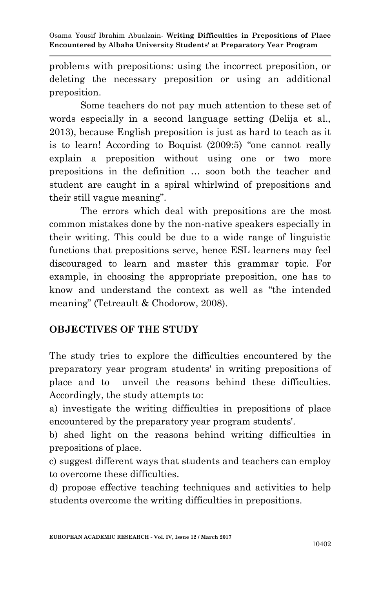problems with prepositions: using the incorrect preposition, or deleting the necessary preposition or using an additional preposition.

Some teachers do not pay much attention to these set of words especially in a second language setting (Delija et al., 2013), because English preposition is just as hard to teach as it is to learn! According to Boquist (2009:5) "one cannot really explain a preposition without using one or two more prepositions in the definition … soon both the teacher and student are caught in a spiral whirlwind of prepositions and their still vague meaning".

 The errors which deal with prepositions are the most common mistakes done by the non-native speakers especially in their writing. This could be due to a wide range of linguistic functions that prepositions serve, hence ESL learners may feel discouraged to learn and master this grammar topic. For example, in choosing the appropriate preposition, one has to know and understand the context as well as "the intended meaning" (Tetreault & Chodorow, 2008).

## **OBJECTIVES OF THE STUDY**

The study tries to explore the difficulties encountered by the preparatory year program students' in writing prepositions of place and to unveil the reasons behind these difficulties. Accordingly, the study attempts to:

a) investigate the writing difficulties in prepositions of place encountered by the preparatory year program students'.

b) shed light on the reasons behind writing difficulties in prepositions of place.

c) suggest different ways that students and teachers can employ to overcome these difficulties.

d) propose effective teaching techniques and activities to help students overcome the writing difficulties in prepositions.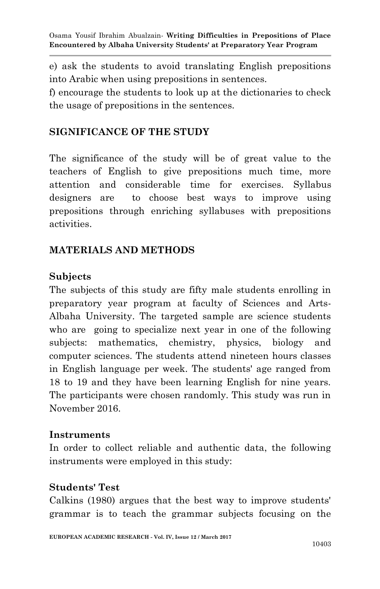e) ask the students to avoid translating English prepositions into Arabic when using prepositions in sentences.

f) encourage the students to look up at the dictionaries to check the usage of prepositions in the sentences.

## **SIGNIFICANCE OF THE STUDY**

The significance of the study will be of great value to the teachers of English to give prepositions much time, more attention and considerable time for exercises. Syllabus designers are to choose best ways to improve using prepositions through enriching syllabuses with prepositions activities.

## **MATERIALS AND METHODS**

### **Subjects**

The subjects of this study are fifty male students enrolling in preparatory year program at faculty of Sciences and Arts-Albaha University. The targeted sample are science students who are going to specialize next year in one of the following subjects: mathematics, chemistry, physics, biology and computer sciences. The students attend nineteen hours classes in English language per week. The students' age ranged from 18 to 19 and they have been learning English for nine years. The participants were chosen randomly. This study was run in November 2016.

#### **Instruments**

In order to collect reliable and authentic data, the following instruments were employed in this study:

## **Students' Test**

Calkins (1980) argues that the best way to improve students' grammar is to teach the grammar subjects focusing on the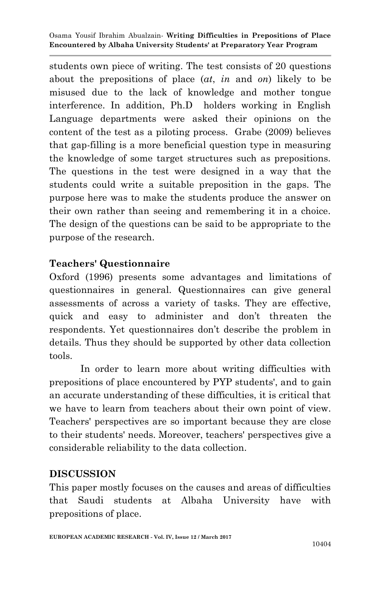students own piece of writing. The test consists of 20 questions about the prepositions of place (*at*, *in* and *on*) likely to be misused due to the lack of knowledge and mother tongue interference. In addition, Ph.D holders working in English Language departments were asked their opinions on the content of the test as a piloting process. Grabe (2009) believes that gap-filling is a more beneficial question type in measuring the knowledge of some target structures such as prepositions. The questions in the test were designed in a way that the students could write a suitable preposition in the gaps. The purpose here was to make the students produce the answer on their own rather than seeing and remembering it in a choice. The design of the questions can be said to be appropriate to the purpose of the research.

## **Teachers' Questionnaire**

Oxford (1996) presents some advantages and limitations of questionnaires in general. Questionnaires can give general assessments of across a variety of tasks. They are effective, quick and easy to administer and don"t threaten the respondents. Yet questionnaires don"t describe the problem in details. Thus they should be supported by other data collection tools.

In order to learn more about writing difficulties with prepositions of place encountered by PYP students', and to gain an accurate understanding of these difficulties, it is critical that we have to learn from teachers about their own point of view. Teachers' perspectives are so important because they are close to their students' needs. Moreover, teachers' perspectives give a considerable reliability to the data collection.

## **DISCUSSION**

This paper mostly focuses on the causes and areas of difficulties that Saudi students at Albaha University have with prepositions of place.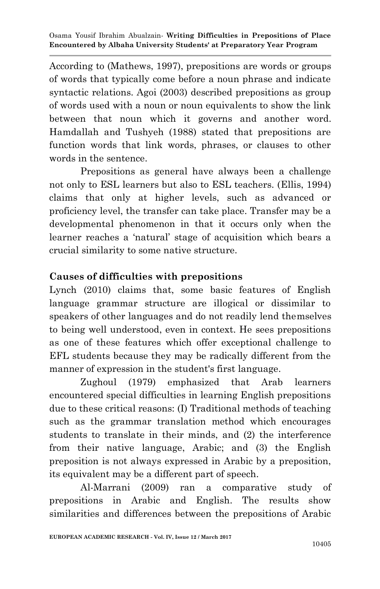According to (Mathews, 1997), prepositions are words or groups of words that typically come before a noun phrase and indicate syntactic relations. Agoi (2003) described prepositions as group of words used with a noun or noun equivalents to show the link between that noun which it governs and another word. Hamdallah and Tushyeh (1988) stated that prepositions are function words that link words, phrases, or clauses to other words in the sentence.

Prepositions as general have always been a challenge not only to ESL learners but also to ESL teachers. (Ellis, 1994) claims that only at higher levels, such as advanced or proficiency level, the transfer can take place. Transfer may be a developmental phenomenon in that it occurs only when the learner reaches a "natural" stage of acquisition which bears a crucial similarity to some native structure.

## **Causes of difficulties with prepositions**

Lynch (2010) claims that, some basic features of English language grammar structure are illogical or dissimilar to speakers of other languages and do not readily lend themselves to being well understood, even in context. He sees prepositions as one of these features which offer exceptional challenge to EFL students because they may be radically different from the manner of expression in the student's first language.

Zughoul (1979) emphasized that Arab learners encountered special difficulties in learning English prepositions due to these critical reasons: (I) Traditional methods of teaching such as the grammar translation method which encourages students to translate in their minds, and (2) the interference from their native language, Arabic; and (3) the English preposition is not always expressed in Arabic by a preposition, its equivalent may be a different part of speech.

Al-Marrani (2009) ran a comparative study of prepositions in Arabic and English. The results show similarities and differences between the prepositions of Arabic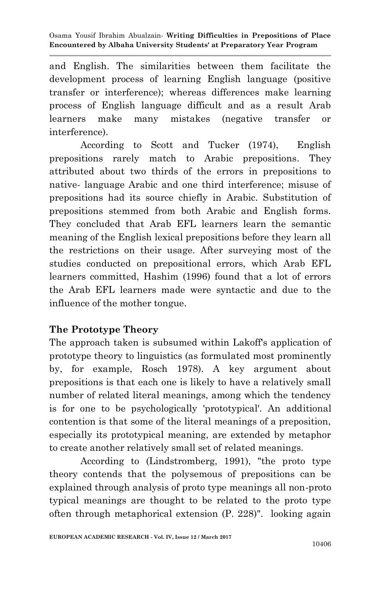and English. The similarities between them facilitate the development process of learning English language (positive transfer or interference); whereas differences make learning process of English language difficult and as a result Arab learners make many mistakes (negative transfer or interference).

According to Scott and Tucker (1974), English prepositions rarely match to Arabic prepositions. They attributed about two thirds of the errors in prepositions to native- language Arabic and one third interference; misuse of prepositions had its source chiefly in Arabic. Substitution of prepositions stemmed from both Arabic and English forms. They concluded that Arab EFL learners learn the semantic meaning of the English lexical prepositions before they learn all the restrictions on their usage. After surveying most of the studies conducted on prepositional errors, which Arab EFL learners committed, Hashim (1996) found that a lot of errors the Arab EFL learners made were syntactic and due to the influence of the mother tongue.

## **The Prototype Theory**

The approach taken is subsumed within Lakoff's application of prototype theory to linguistics (as formulated most prominently by, for example, Rosch 1978). A key argument about prepositions is that each one is likely to have a relatively small number of related literal meanings, among which the tendency is for one to be psychologically 'prototypical'. An additional contention is that some of the literal meanings of a preposition, especially its prototypical meaning, are extended by metaphor to create another relatively small set of related meanings.

According to (Lindstromberg, 1991), "the proto type theory contends that the polysemous of prepositions can be explained through analysis of proto type meanings all non-proto typical meanings are thought to be related to the proto type often through metaphorical extension (P. 228)". looking again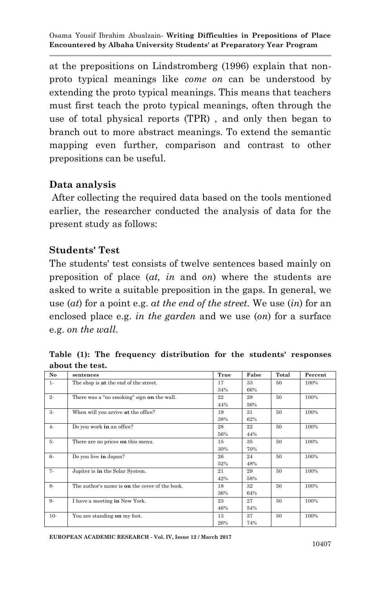at the prepositions on Lindstromberg (1996) explain that nonproto typical meanings like *come on* can be understood by extending the proto typical meanings. This means that teachers must first teach the proto typical meanings, often through the use of total physical reports (TPR) , and only then began to branch out to more abstract meanings. To extend the semantic mapping even further, comparison and contrast to other prepositions can be useful.

### **Data analysis**

After collecting the required data based on the tools mentioned earlier, the researcher conducted the analysis of data for the present study as follows:

### **Students' Test**

The students' test consists of twelve sentences based mainly on preposition of place (*at, in* and *on*) where the students are asked to write a suitable preposition in the gaps. In general, we use (*at*) for a point e.g. *at the end of the street.* We use (*in*) for an enclosed place e.g. *in the garden* and we use (*on*) for a surface e.g. *on the wall*.

**Table (1): The frequency distribution for the students' responses about the test.**

| No    | sentences                                      | True | False | Total | Percent |
|-------|------------------------------------------------|------|-------|-------|---------|
| $1 -$ | The shop is at the end of the street.          | 17   | 33    | 50    | 100%    |
|       |                                                | 34%  | 66%   |       |         |
| $2-$  | There was a "no smoking" sign on the wall.     | 22   | 28    | 50    | 100%    |
|       |                                                | 44%  | 56%   |       |         |
| $3-$  | When will you arrive at the office?            | 19   | 31    | 50    | 100%    |
|       |                                                | 38%  | 62%   |       |         |
| $4-$  | Do you work in an office?                      | 28   | 22    | 50    | 100%    |
|       |                                                | 56%  | 44%   |       |         |
| 5-    | There are no prices on this menu.              | 15   | 35    | 50    | 100%    |
|       |                                                | 30%  | 70%   |       |         |
| $6-$  | Do you live in Japan?                          | 26   | 24    | 50    | 100%    |
|       |                                                | 52%  | 48%   |       |         |
| $7 -$ | Jupiter is in the Solar System.                | 21   | 29    | 50    | 100%    |
|       |                                                | 42%  | 58%   |       |         |
| $8-$  | The author's name is on the cover of the book. | 18   | 32    | 50    | 100%    |
|       |                                                | 36%  | 64%   |       |         |
| 9-    | I have a meeting in New York.                  | 23   | 27    | 50    | 100%    |
|       |                                                | 46%  | 54%   |       |         |
| $10-$ | You are standing on my foot.                   | 13   | 37    | 50    | 100%    |
|       |                                                | 26%  | 74%   |       |         |

**EUROPEAN ACADEMIC RESEARCH - Vol. IV, Issue 12 / March 2017**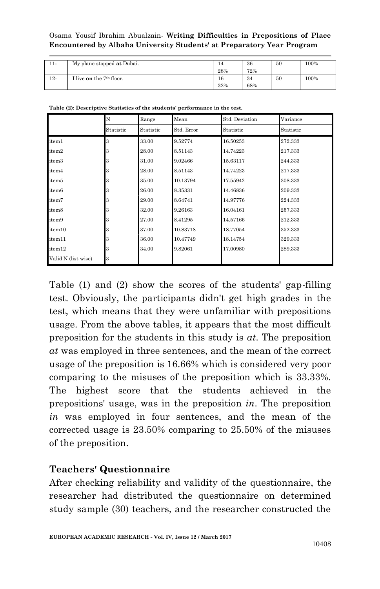| $11-$  | My plane stopped at Dubai. | 14<br>28% | 36<br>72% | 50 | 100% |
|--------|----------------------------|-----------|-----------|----|------|
| $12 -$ | I live on the $7th$ floor. | 16<br>32% | 34<br>68% | 50 | 100% |

|                     | N<br>Range |           | Mean       | Std. Deviation | Variance  |  |
|---------------------|------------|-----------|------------|----------------|-----------|--|
|                     | Statistic  | Statistic | Std. Error | Statistic      | Statistic |  |
| item1               | 3          | 33.00     | 9.52774    | 16.50253       | 272.333   |  |
| item2               | 3          | 28.00     | 8.51143    | 14.74223       | 217.333   |  |
| item3               | 3          | 31.00     | 9.02466    | 15.63117       | 244.333   |  |
| item4               | 3          | 28.00     | 8.51143    | 14.74223       | 217.333   |  |
| item5               | 3          | 35.00     | 10.13794   | 17.55942       | 308.333   |  |
| item6               | 3          | 26.00     | 8.35331    | 14.46836       | 209.333   |  |
| item7               | 3          | 29.00     | 8.64741    | 14.97776       | 224.333   |  |
| item8               | 3          | 32.00     | 9.26163    | 16.04161       | 257.333   |  |
| item9               | 3          | 27.00     | 8.41295    | 14.57166       | 212.333   |  |
| item10              | 3          | 37.00     | 10.83718   | 18.77054       | 352.333   |  |
| item11              | 3          | 36.00     | 10.47749   | 18.14754       | 329.333   |  |
| item12              | 3          | 34.00     | 9.82061    | 17.00980       | 289.333   |  |
| Valid N (list wise) | 3          |           |            |                |           |  |

**Table (2): Descriptive Statistics of the students' performance in the test.**

Table (1) and (2) show the scores of the students' gap-filling test. Obviously, the participants didn't get high grades in the test, which means that they were unfamiliar with prepositions usage. From the above tables, it appears that the most difficult preposition for the students in this study is *at*. The preposition *at* was employed in three sentences, and the mean of the correct usage of the preposition is 16.66% which is considered very poor comparing to the misuses of the preposition which is 33.33%. The highest score that the students achieved in the prepositions' usage, was in the preposition *in*. The preposition *in* was employed in four sentences, and the mean of the corrected usage is 23.50% comparing to 25.50% of the misuses of the preposition.

## **Teachers' Questionnaire**

After checking reliability and validity of the questionnaire, the researcher had distributed the questionnaire on determined study sample (30) teachers, and the researcher constructed the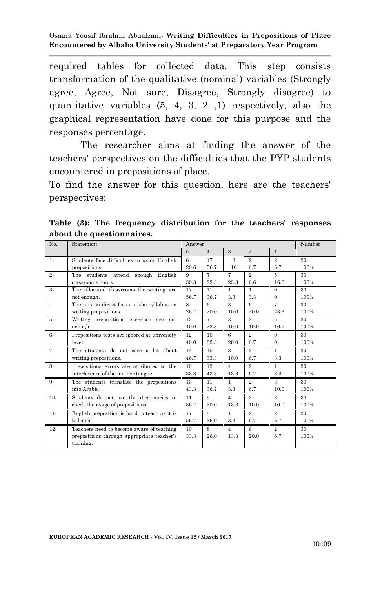required tables for collected data. This step consists transformation of the qualitative (nominal) variables (Strongly agree, Agree, Not sure, Disagree, Strongly disagree) to quantitative variables (5, 4, 3, 2 ,1) respectively, also the graphical representation have done for this purpose and the responses percentage.

 The researcher aims at finding the answer of the teachers' perspectives on the difficulties that the PYP students encountered in prepositions of place.

To find the answer for this question, here are the teachers' perspectives:

| No.    | Statement                                     | Answer         |                |                |                             | Number         |      |
|--------|-----------------------------------------------|----------------|----------------|----------------|-----------------------------|----------------|------|
|        |                                               | $\overline{5}$ | $\overline{4}$ | $\overline{3}$ | $\overline{2}$              | $\mathbf{1}$   |      |
| $1 -$  | Students face difficulties in using English   | 6              | 17             | 3              | $\mathcal{D}_{\alpha}$      | $\overline{2}$ | 30   |
|        | prepositions.                                 | 20.6           | 56.7           | 10             | 6.7                         | 6.7            | 100% |
| $2 -$  | The students attend enough English            | 9              | 7              | 7              | $\overline{2}$              | 5              | 30   |
|        | classrooms hours.                             | 30.3           | 23.3           | 23.3           | 6.6                         | 16.6           | 100% |
| $3-$   | The allocated classrooms for writing are      | 17             | 11             | 1              | $\mathbf{1}$                | $\Omega$       | 30   |
|        | not enough.                                   | 56.7           | 36.7           | 3.3            | 3.3                         | $\Omega$       | 100% |
| $4-$   | There is no direct focus in the syllabus on   | 8              | 6              | 3              | 6                           | 7              | 30   |
|        | writing prepositions.                         | 26.7           | 20.0           | 10.0           | 20.0                        | 23.3           | 100% |
| 5.     | Writing prepositions exercises are not        | 12             | 7              | 3              | $\mathbf{R}$                | 5              | 30   |
|        | enough.                                       | 40.0           | 23.3           | 10.0           | 10.0                        | 16.7           | 100% |
| $6-$   | Prepositions tests are ignored at university  | 12             | 10             | 6              | $\mathcal{D}_{\alpha}$      | $\Omega$       | 30   |
|        | level.                                        | 40.0           | 33.3           | 20.0           | 6.7                         | $\mathbf{0}$   | 100% |
| $7 -$  | The students do not care a lot about          | 14             | 10             | 3              | $\overline{2}$              | $\mathbf{1}$   | 30   |
|        | writing prepositions.                         | 46.7           | 33.3           | 10.0           | 6.7                         | 3.3            | 100% |
| 8-     | Prepositions errors are attributed to the     | 10             | 13             | $\overline{4}$ | $\mathcal{D}_{\mathcal{L}}$ | 1              | 30   |
|        | interference of the mother tongue.            | 33.3           | 43.3           | 13.3           | 6.7                         | 3.3            | 100% |
| $9 -$  | The students translate the prepositions       | 13             | 11             | 1              | $\overline{2}$              | $\overline{3}$ | 30   |
|        | into Arabic.                                  | 43.3           | 36.7           | 3.3            | 6.7                         | 10.0           | 100% |
| $10-$  | Students do not use the dictionaries to       | 11             | 9              | $\overline{4}$ | 3                           | $\overline{3}$ | 30   |
|        | check the usage of prepositions.              | 36.7           | 30.0           | 13.3           | 10.0                        | 10.0           | 100% |
| $11 -$ | English preposition is hard to teach as it is | 17             | 8              | 1.             | $\mathcal{D}_{\mathcal{L}}$ | $\overline{2}$ | 30   |
|        | to learn.                                     | 56.7           | 26.0           | 3.3            | 6.7                         | 6.7            | 100% |
| $12-$  | Teachers need to become aware of teaching     | 10             | 8              | $\overline{4}$ | 6                           | $\overline{2}$ | 30   |
|        | prepositions through appropriate teacher's    | 33.3           | 26.0           | 13.3           | 20.0                        | 6.7            | 100% |
|        | training.                                     |                |                |                |                             |                |      |

**Table (3): The frequency distribution for the teachers' responses about the questionnaires.**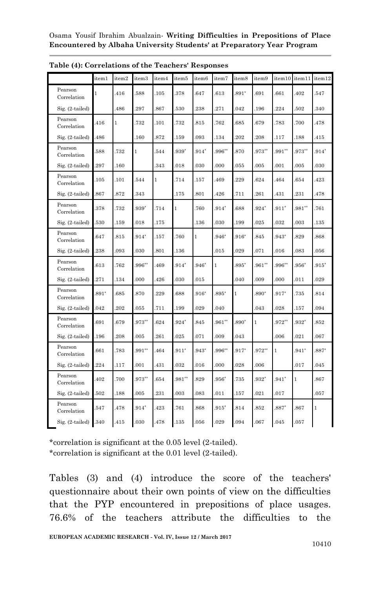|                        | item1        | item2        | item3     | item4 | item5        | item <sub>6</sub> | item7        | item8    | item9        |          | item10 item11 | item12       |
|------------------------|--------------|--------------|-----------|-------|--------------|-------------------|--------------|----------|--------------|----------|---------------|--------------|
| Pearson<br>Correlation | $\mathbf{1}$ | .416         | .588      | .105  | 378          | .647              | 613          | $.891^*$ | 691          | .661     | .402          | .547         |
| $Sig. (2-tailed)$      |              | .486         | 297       | .867  | .530         | .238              | .271         | .042     | .196         | 224      | .502          | .340         |
| Pearson<br>Correlation | 416          | $\mathbf{1}$ | .732      | .101  | .732         | .815              | .762         | 685      | 679          | .783     | .700          | .478         |
| Sig. (2-tailed)        | 486          |              | .160      | 872   | .159         | .093              | 134          | .202     | .208         | .117     | .188          | .415         |
| Pearson<br>Correlation | 588          | .732         | 1         | .544  | $.939*$      | $.914*$           | .996**       | 870      | $.973**$     | $991**$  | $.973**$      | $.914*$      |
| Sig. (2-tailed)        | 297          | .160         |           | .343  | .018         | .030              | .000         | .055     | .005         | .001     | .005          | .030         |
| Pearson<br>Correlation | 105          | .101         | .544      | 1     | .714         | .157              | .469         | 229      | 624          | .464     | .654          | .423         |
| Sig. (2-tailed)        | 867          | .872         | 343       |       | .175         | .801              | 426          | .711     | .261         | .431     | .231          | .478         |
| Pearson<br>Correlation | 378          | .732         | $.939*$   | .714  | $\mathbf{1}$ | .760              | $.914*$      | 688      | $.924*$      | $.911*$  | $.981**$      | .761         |
| $Sig. (2-tailed)$      | 530          | .159         | .018      | .175  |              | .136              | .030         | .199     | .025         | .032     | .003          | .135         |
| Pearson<br>Correlation | 647          | .815         | $.914*$   | .157  | .760         | 1                 | $.946*$      | $.916*$  | .845         | $943*$   | .829          | .868         |
| $Sig. (2-tailed)$      | .238         | .093         | .030      | .801  | .136         |                   | .015         | .029     | .071         | .016     | .083          | .056         |
| Pearson<br>Correlation | 613          | .762         | $.996***$ | 469   | $.914*$      | $.946*$           | $\mathbf{1}$ | $.895*$  | $961**$      | .996**   | $.956*$       | $.915*$      |
| $Sig. (2-tailed)$      | 271          | .134         | .000      | .426  | .030         | .015              |              | .040     | .009         | .000     | .011          | .029         |
| Pearson<br>Correlation | $891*$       | 685          | .870      | 229   | 688          | $.916*$           | $895*$       | 1        | 890*         | $.917*$  | .735          | .814         |
| $Sig. (2-tailed)$      | .042         | .202         | .055      | .711  | .199         | .029              | .040         |          | .043         | .028     | .157          | .094         |
| Pearson<br>Correlation | 691          | 679          | $.973**$  | 624   | $.924*$      | .845              | $.961**$     | $.890*$  | $\mathbf{1}$ | $.972**$ | $.932*$       | .852         |
| Sig. (2-tailed)        | .196         | .208         | .005      | .261  | .025         | .071              | .009         | .043     |              | .006     | .021          | .067         |
| Pearson<br>Correlation | 661          | .783         | $.991**$  | 464   | $.911*$      | $.943*$           | $996**$      | $.917*$  | $.972**$     | 1        | $.941*$       | $.887*$      |
| $Sig. (2-tailed)$      | 224          | .117         | .001      | 431   | .032         | .016              | .000         | .028     | 006          |          | .017          | .045         |
| Pearson<br>Correlation | 402          | .700         | $.973**$  | 654   | $.981**$     | .829              | $.956*$      | .735     | $.932*$      | $.941*$  | $\mathbf{1}$  | .867         |
| Sig. (2-tailed)        | 502          | .188         | .005      | 231   | .003         | .083              | .011         | .157     | 021          | 017      |               | .057         |
| Pearson<br>Correlation | 547          | .478         | $.914*$   | 423   | .761         | .868              | $.915*$      | .814     | .852         | $.887*$  | .867          | $\mathbf{1}$ |
| $Sig. (2-tailed)$      | .340         | 415          | .030      | 478   | 135          | .056              | .029         | .094     | 067          | 045      | .057          |              |

**Table (4): Correlations of the Teachers' Responses** 

\*correlation is significant at the 0.05 level (2-tailed). \*correlation is significant at the 0.01 level (2-tailed).

Tables (3) and (4) introduce the score of the teachers' questionnaire about their own points of view on the difficulties that the PYP encountered in prepositions of place usages. 76.6% of the teachers attribute the difficulties to the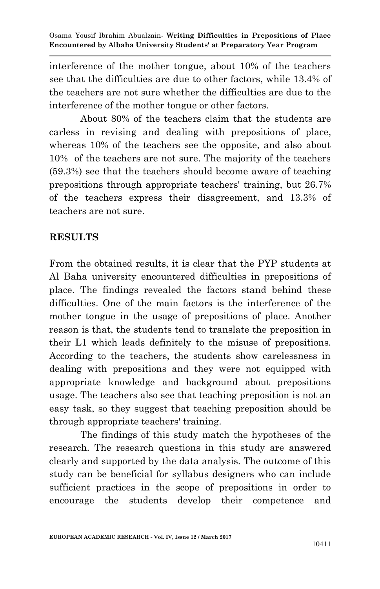interference of the mother tongue, about 10% of the teachers see that the difficulties are due to other factors, while 13.4% of the teachers are not sure whether the difficulties are due to the interference of the mother tongue or other factors.

About 80% of the teachers claim that the students are carless in revising and dealing with prepositions of place, whereas 10% of the teachers see the opposite, and also about 10% of the teachers are not sure. The majority of the teachers (59.3%) see that the teachers should become aware of teaching prepositions through appropriate teachers' training, but 26.7% of the teachers express their disagreement, and 13.3% of teachers are not sure.

#### **RESULTS**

From the obtained results, it is clear that the PYP students at Al Baha university encountered difficulties in prepositions of place. The findings revealed the factors stand behind these difficulties. One of the main factors is the interference of the mother tongue in the usage of prepositions of place. Another reason is that, the students tend to translate the preposition in their L1 which leads definitely to the misuse of prepositions. According to the teachers, the students show carelessness in dealing with prepositions and they were not equipped with appropriate knowledge and background about prepositions usage. The teachers also see that teaching preposition is not an easy task, so they suggest that teaching preposition should be through appropriate teachers' training.

The findings of this study match the hypotheses of the research. The research questions in this study are answered clearly and supported by the data analysis. The outcome of this study can be beneficial for syllabus designers who can include sufficient practices in the scope of prepositions in order to encourage the students develop their competence and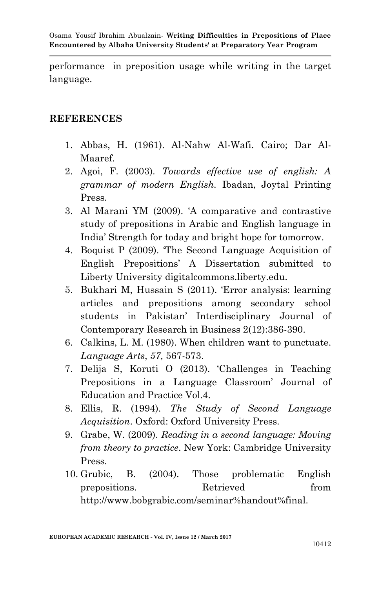performance in preposition usage while writing in the target language.

#### **REFERENCES**

- 1. Abbas, H. (1961). Al-Nahw Al-Wafi. Cairo; Dar Al-Maaref.
- 2. Agoi, F. (2003). *Towards effective use of english: A grammar of modern English.* Ibadan, Joytal Printing Press.
- 3. Al Marani YM (2009). "A comparative and contrastive study of prepositions in Arabic and English language in India" Strength for today and bright hope for tomorrow.
- 4. Boquist P (2009). "The Second Language Acquisition of English Prepositions" A Dissertation submitted to Liberty University digitalcommons.liberty.edu.
- 5. Bukhari M, Hussain S (2011). "Error analysis: learning articles and prepositions among secondary school students in Pakistan" Interdisciplinary Journal of Contemporary Research in Business 2(12):386-390.
- 6. Calkins, L. M. (1980). When children want to punctuate. *Language Arts*, *57,* 567-573.
- 7. Delija S, Koruti O (2013). "Challenges in Teaching Prepositions in a Language Classroom" Journal of Education and Practice Vol.4.
- 8. Ellis, R. (1994). *The Study of Second Language Acquisition*. Oxford: Oxford University Press.
- 9. Grabe, W. (2009). *Reading in a second language: Moving from theory to practice*. New York: Cambridge University Press.
- 10. Grubic, B. (2004). Those problematic English prepositions. Retrieved from http://www.bobgrabic.com/seminar%handout%final.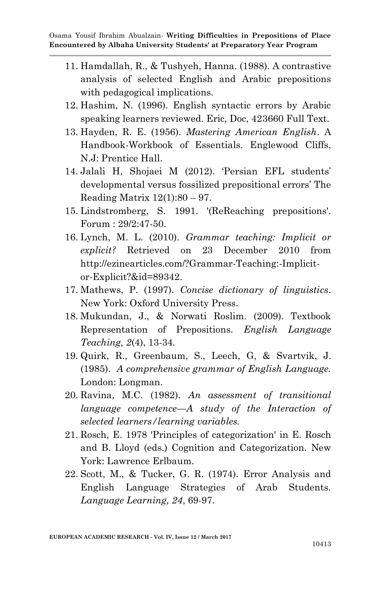- 11. Hamdallah, R., & Tushyeh, Hanna. (1988). A contrastive analysis of selected English and Arabic prepositions with pedagogical implications.
- 12. Hashim, N. (1996). English syntactic errors by Arabic speaking learners reviewed. Eric, Doc, 423660 Full Text.
- 13. Hayden, R. E. (1956). *Mastering American English*. A Handbook-Workbook of Essentials. Englewood Cliffs, N.J: Prentice Hall.
- 14. Jalali H, Shojaei M (2012). "Persian EFL students" developmental versus fossilized prepositional errors' The Reading Matrix  $12(1):80 - 97$ .
- 15. Lindstromberg, S. 1991. '(ReReaching prepositions'. Forum : 29/2:47-50.
- 16. Lynch, M. L. (2010). *Grammar teaching: Implicit or explicit?* Retrieved on 23 December 2010 from http://ezinearticles.com/?Grammar-Teaching:-Implicitor-Explicit?&id=89342.
- 17. Mathews, P. (1997). *Concise dictionary of linguistics*. New York: Oxford University Press.
- 18. Mukundan, J., & Norwati Roslim. (2009). Textbook Representation of Prepositions. *English Language Teaching, 2*(4), 13-34*.*
- 19. Quirk, R., Greenbaum, S., Leech, G, & Svartvik, J. (1985). *A comprehensive grammar of English Language.*  London: Longman.
- 20. Ravina, M.C. (1982). *An assessment of transitional language competence—A study of the Interaction of selected learners/learning variables.*
- 21. Rosch, E. 1978 'Principles of categorization' in E. Rosch and B. Lloyd (eds.) Cognition and Categorization. New York: Lawrence Erlbaum.
- 22. Scott, M., & Tucker, G. R. (1974). Error Analysis and English Language Strategies of Arab Students. *Language Learning, 24*, 69-97.